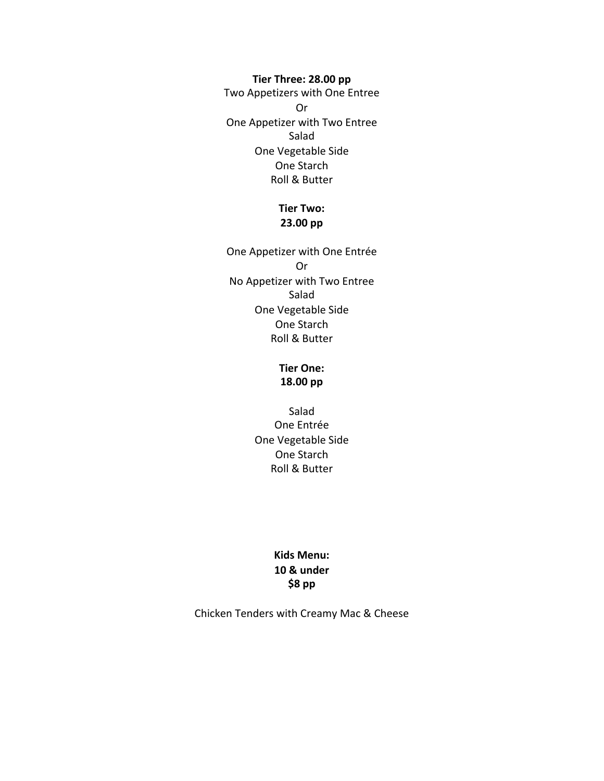Tier Three: 28.00 pp

Two Appetizers with One Entree Or One Appetizer with Two Entree Salad One Vegetable Side One Starch **Roll & Butter** 

## **Tier Two: 23.00 pp**

One Appetizer with One Entrée Or No Appetizer with Two Entree Salad One Vegetable Side One Starch **Roll & Butter** 

#### **Tier One: 18.00 pp**

Salad One Entrée One Vegetable Side One Starch **Roll & Butter** 

## **Kids Menu: 10 & under \$8 pp**

Chicken Tenders with Creamy Mac & Cheese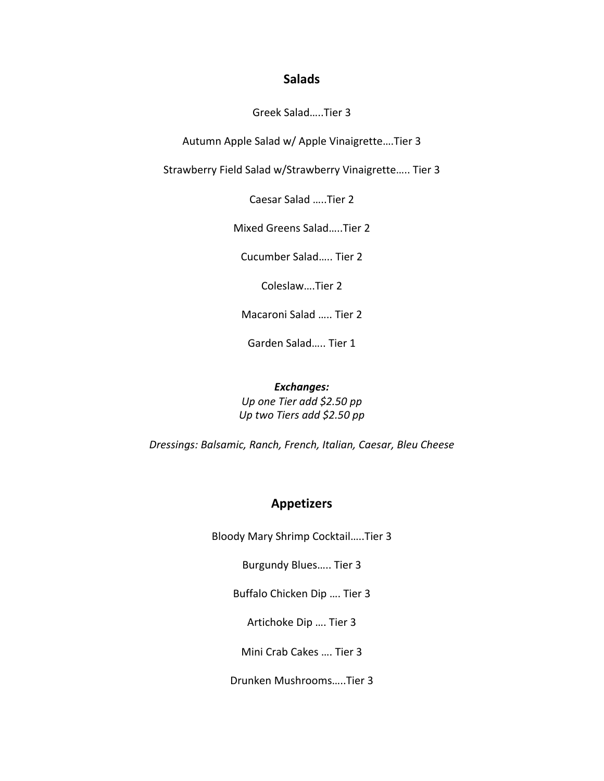### **Salads**

Greek Salad…..Tier 3

Autumn Apple Salad w/ Apple Vinaigrette....Tier 3

Strawberry Field Salad w/Strawberry Vinaigrette..... Tier 3

Caesar Salad .....Tier 2

Mixed Greens Salad.....Tier 2

Cucumber Salad..... Tier 2

Coleslaw....Tier 2

Macaroni Salad ..... Tier 2

Garden Salad..... Tier 1

#### *Exchanges:*

*Up one Tier add \$2.50 pp Up two Tiers add \$2.50 pp*

*Dressings: Balsamic, Ranch, French, Italian, Caesar, Bleu Cheese*

## **Appetizers**

Bloody Mary Shrimp Cocktail.....Tier 3

Burgundy Blues..... Tier 3

Buffalo Chicken Dip .... Tier 3

Artichoke Dip .... Tier 3

Mini Crab Cakes .... Tier 3

Drunken Mushrooms…..Tier 3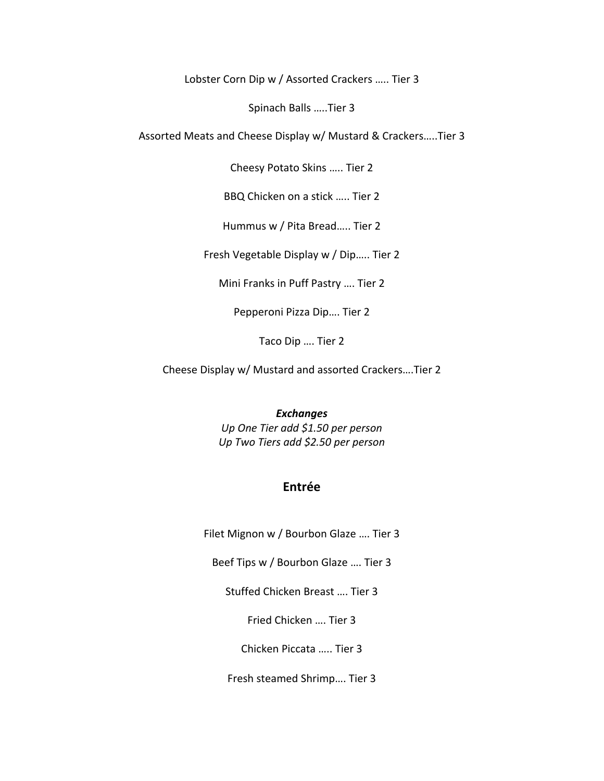Lobster Corn Dip w / Assorted Crackers ..... Tier 3

Spinach Balls .....Tier 3

Assorted Meats and Cheese Display w/ Mustard & Crackers.....Tier 3

Cheesy Potato Skins ..... Tier 2

BBQ Chicken on a stick ..... Tier 2

Hummus w / Pita Bread..... Tier 2

Fresh Vegetable Display w / Dip..... Tier 2

Mini Franks in Puff Pastry .... Tier 2

Pepperoni Pizza Dip.... Tier 2

Taco Dip .... Tier 2

Cheese Display w/ Mustard and assorted Crackers....Tier 2

#### *Exchanges*

*Up One Tier add \$1.50 per person Up Two Tiers add \$2.50 per person*

# **Entrée**

Filet Mignon w / Bourbon Glaze .... Tier 3

Beef Tips w / Bourbon Glaze .... Tier 3

Stuffed Chicken Breast .... Tier 3

Fried Chicken .... Tier 3

Chicken Piccata ..... Tier 3

Fresh steamed Shrimp.... Tier 3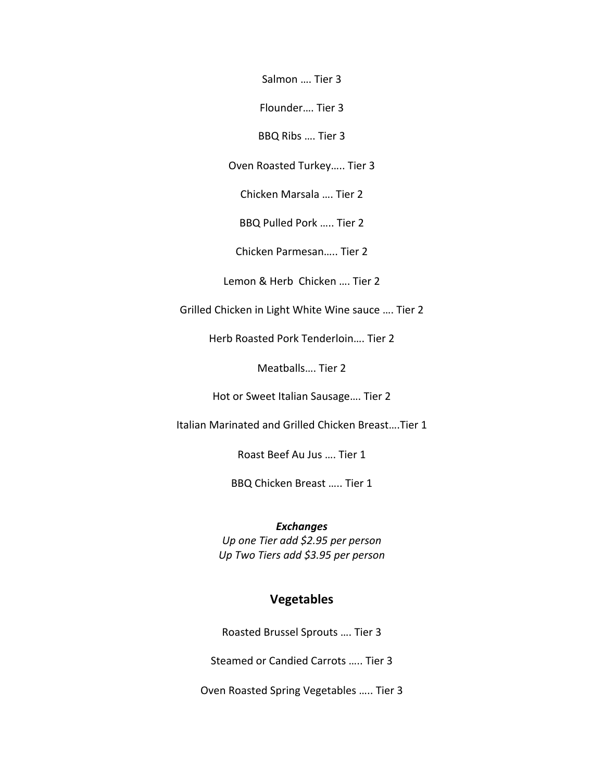Salmon .... Tier 3

Flounder.... Tier 3

BBQ Ribs .... Tier 3

Oven Roasted Turkey..... Tier 3

Chicken Marsala .... Tier 2

BBQ Pulled Pork ..... Tier 2

Chicken Parmesan..... Tier 2

Lemon & Herb Chicken .... Tier 2

Grilled Chicken in Light White Wine sauce .... Tier 2

Herb Roasted Pork Tenderloin.... Tier 2

Meatballs.... Tier 2

Hot or Sweet Italian Sausage.... Tier 2

Italian Marinated and Grilled Chicken Breast….Tier 1

Roast Beef Au Jus .... Tier 1

BBQ Chicken Breast ..... Tier 1

*Exchanges Up one Tier add \$2.95 per person* 

*Up Two Tiers add \$3.95 per person*

# **Vegetables**

Roasted Brussel Sprouts .... Tier 3

Steamed or Candied Carrots ..... Tier 3

Oven Roasted Spring Vegetables ..... Tier 3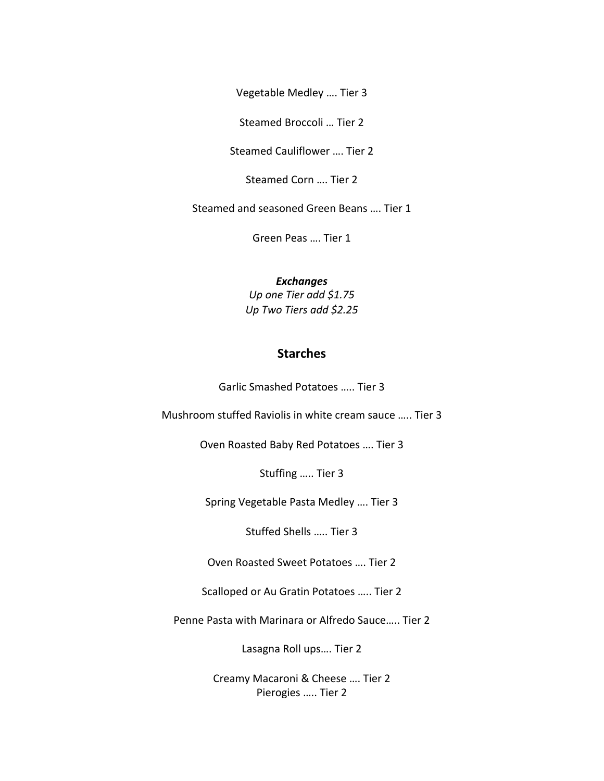Vegetable Medley .... Tier 3

Steamed Broccoli ... Tier 2

Steamed Cauliflower .... Tier 2

Steamed Corn .... Tier 2

Steamed and seasoned Green Beans .... Tier 1

Green Peas .... Tier 1

*Exchanges*

*Up one Tier add \$1.75 Up Two Tiers add \$2.25*

# **Starches**

Garlic Smashed Potatoes ..... Tier 3

Mushroom stuffed Raviolis in white cream sauce ..... Tier 3

Oven Roasted Baby Red Potatoes .... Tier 3

Stuffing ..... Tier 3

Spring Vegetable Pasta Medley .... Tier 3

Stuffed Shells ..... Tier 3

Oven Roasted Sweet Potatoes .... Tier 2

Scalloped or Au Gratin Potatoes ..... Tier 2

Penne Pasta with Marinara or Alfredo Sauce..... Tier 2

Lasagna Roll ups.... Tier 2

Creamy Macaroni & Cheese .... Tier 2 Pierogies ..... Tier 2